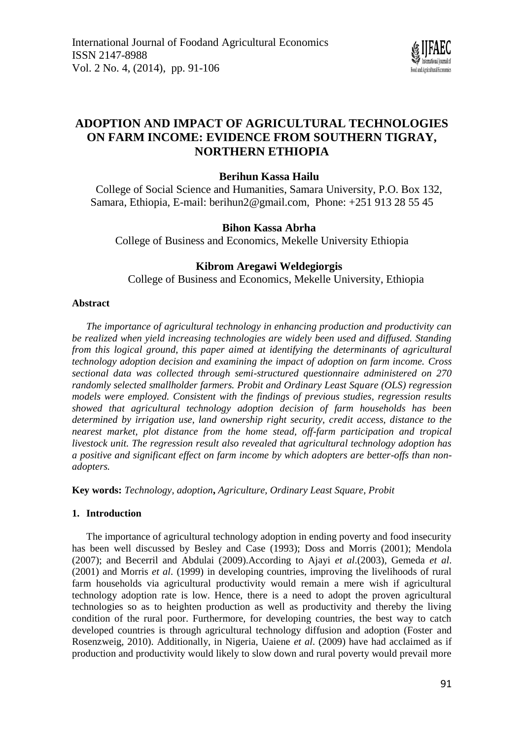

# **ADOPTION AND IMPACT OF AGRICULTURAL TECHNOLOGIES ON FARM INCOME: EVIDENCE FROM SOUTHERN TIGRAY, NORTHERN ETHIOPIA**

# **Berihun Kassa Hailu**

College of Social Science and Humanities, Samara University, P.O. Box 132, Samara, Ethiopia, E-mail: [berihun2@gmail.com,](mailto:berihun2@gmail.com) Phone: +251 913 28 55 45

# **Bihon Kassa Abrha**

College of Business and Economics, Mekelle University Ethiopia

# **Kibrom Aregawi Weldegiorgis**

College of Business and Economics, Mekelle University, Ethiopia

# **Abstract**

*The importance of agricultural technology in enhancing production and productivity can be realized when yield increasing technologies are widely been used and diffused. Standing from this logical ground, this paper aimed at identifying the determinants of agricultural technology adoption decision and examining the impact of adoption on farm income. Cross sectional data was collected through semi-structured questionnaire administered on 270 randomly selected smallholder farmers. Probit and Ordinary Least Square (OLS) regression models were employed. Consistent with the findings of previous studies, regression results showed that agricultural technology adoption decision of farm households has been determined by irrigation use, land ownership right security, credit access, distance to the nearest market, plot distance from the home stead, off-farm participation and tropical livestock unit. The regression result also revealed that agricultural technology adoption has a positive and significant effect on farm income by which adopters are better-offs than nonadopters.* 

**Key words:** *Technology, adoption***,** *Agriculture, Ordinary Least Square, Probit*

# **1. Introduction**

The importance of agricultural technology adoption in ending poverty and food insecurity has been well discussed by Besley and Case (1993); Doss and Morris (2001); Mendola (2007); and Becerril and Abdulai (2009).According to Ajayi *et al*.(2003), Gemeda *et al*. (2001) and Morris *et al*. (1999) in developing countries, improving the livelihoods of rural farm households via agricultural productivity would remain a mere wish if agricultural technology adoption rate is low. Hence, there is a need to adopt the proven agricultural technologies so as to heighten production as well as productivity and thereby the living condition of the rural poor. Furthermore, for developing countries, the best way to catch developed countries is through agricultural technology diffusion and adoption (Foster and Rosenzweig, 2010). Additionally, in Nigeria, Uaiene *et al*. (2009) have had acclaimed as if production and productivity would likely to slow down and rural poverty would prevail more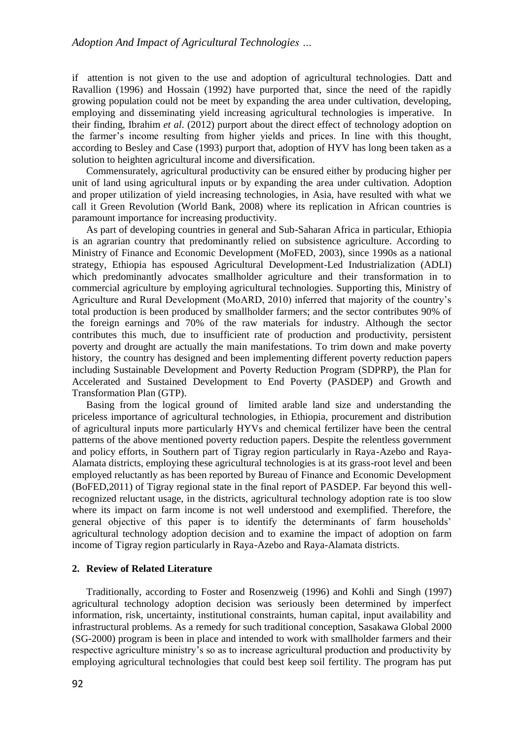if attention is not given to the use and adoption of agricultural technologies. Datt and Ravallion (1996) and Hossain (1992) have purported that, since the need of the rapidly growing population could not be meet by expanding the area under cultivation, developing, employing and disseminating yield increasing agricultural technologies is imperative. In their finding, Ibrahim *et al*. (2012) purport about the direct effect of technology adoption on the farmer's income resulting from higher yields and prices. In line with this thought, according to Besley and Case (1993) purport that, adoption of HYV has long been taken as a solution to heighten agricultural income and diversification.

Commensurately, agricultural productivity can be ensured either by producing higher per unit of land using agricultural inputs or by expanding the area under cultivation. Adoption and proper utilization of yield increasing technologies, in Asia, have resulted with what we call it Green Revolution (World Bank, 2008) where its replication in African countries is paramount importance for increasing productivity.

As part of developing countries in general and Sub-Saharan Africa in particular, Ethiopia is an agrarian country that predominantly relied on subsistence agriculture. According to Ministry of Finance and Economic Development (MoFED, 2003), since 1990s as a national strategy, Ethiopia has espoused Agricultural Development-Led Industrialization (ADLI) which predominantly advocates smallholder agriculture and their transformation in to commercial agriculture by employing agricultural technologies. Supporting this, Ministry of Agriculture and Rural Development (MoARD, 2010) inferred that majority of the country's total production is been produced by smallholder farmers; and the sector contributes 90% of the foreign earnings and 70% of the raw materials for industry. Although the sector contributes this much, due to insufficient rate of production and productivity, persistent poverty and drought are actually the main manifestations. To trim down and make poverty history, the country has designed and been implementing different poverty reduction papers including Sustainable Development and Poverty Reduction Program (SDPRP), the Plan for Accelerated and Sustained Development to End Poverty (PASDEP) and Growth and Transformation Plan (GTP).

Basing from the logical ground of limited arable land size and understanding the priceless importance of agricultural technologies, in Ethiopia, procurement and distribution of agricultural inputs more particularly HYVs and chemical fertilizer have been the central patterns of the above mentioned poverty reduction papers. Despite the relentless government and policy efforts, in Southern part of Tigray region particularly in Raya-Azebo and Raya-Alamata districts, employing these agricultural technologies is at its grass-root level and been employed reluctantly as has been reported by Bureau of Finance and Economic Development (BoFED,2011) of Tigray regional state in the final report of PASDEP. Far beyond this wellrecognized reluctant usage, in the districts, agricultural technology adoption rate is too slow where its impact on farm income is not well understood and exemplified. Therefore, the general objective of this paper is to identify the determinants of farm households' agricultural technology adoption decision and to examine the impact of adoption on farm income of Tigray region particularly in Raya-Azebo and Raya-Alamata districts.

### **2. Review of Related Literature**

Traditionally, according to Foster and Rosenzweig (1996) and Kohli and Singh (1997) agricultural technology adoption decision was seriously been determined by imperfect information, risk, uncertainty, institutional constraints, human capital, input availability and infrastructural problems. As a remedy for such traditional conception, Sasakawa Global 2000 (SG-2000) program is been in place and intended to work with smallholder farmers and their respective agriculture ministry's so as to increase agricultural production and productivity by employing agricultural technologies that could best keep soil fertility. The program has put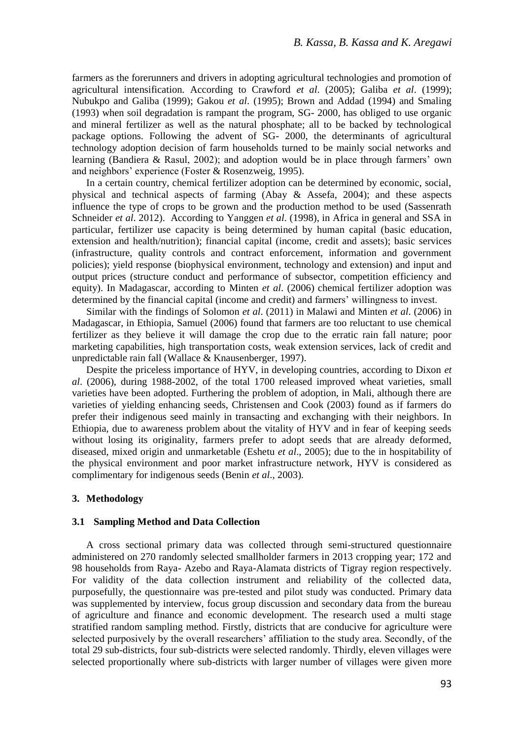farmers as the forerunners and drivers in adopting agricultural technologies and promotion of agricultural intensification. According to Crawford *et al*. (2005); Galiba *et al*. (1999); Nubukpo and Galiba (1999); Gakou *et al*. (1995); Brown and Addad (1994) and Smaling (1993) when soil degradation is rampant the program, SG- 2000, has obliged to use organic and mineral fertilizer as well as the natural phosphate; all to be backed by technological package options. Following the advent of SG- 2000, the determinants of agricultural technology adoption decision of farm households turned to be mainly social networks and learning (Bandiera & Rasul, 2002); and adoption would be in place through farmers' own and neighbors' experience (Foster & Rosenzweig, 1995).

In a certain country, chemical fertilizer adoption can be determined by economic, social, physical and technical aspects of farming (Abay & Assefa, 2004); and these aspects influence the type of crops to be grown and the production method to be used (Sassenrath Schneider *et al*. 2012). According to Yanggen *et al*. (1998), in Africa in general and SSA in particular, fertilizer use capacity is being determined by human capital (basic education, extension and health/nutrition); financial capital (income, credit and assets); basic services (infrastructure, quality controls and contract enforcement, information and government policies); yield response (biophysical environment, technology and extension) and input and output prices (structure conduct and performance of subsector, competition efficiency and equity). In Madagascar, according to Minten *et al*. (2006) chemical fertilizer adoption was determined by the financial capital (income and credit) and farmers' willingness to invest.

Similar with the findings of Solomon *et al*. (2011) in Malawi and Minten *et al*. (2006) in Madagascar, in Ethiopia, Samuel (2006) found that farmers are too reluctant to use chemical fertilizer as they believe it will damage the crop due to the erratic rain fall nature; poor marketing capabilities, high transportation costs, weak extension services, lack of credit and unpredictable rain fall (Wallace & Knausenberger, 1997).

Despite the priceless importance of HYV, in developing countries, according to Dixon *et al*. (2006), during 1988-2002, of the total 1700 released improved wheat varieties, small varieties have been adopted. Furthering the problem of adoption, in Mali, although there are varieties of yielding enhancing seeds, Christensen and Cook (2003) found as if farmers do prefer their indigenous seed mainly in transacting and exchanging with their neighbors. In Ethiopia, due to awareness problem about the vitality of HYV and in fear of keeping seeds without losing its originality, farmers prefer to adopt seeds that are already deformed, diseased, mixed origin and unmarketable (Eshetu *et al*., 2005); due to the in hospitability of the physical environment and poor market infrastructure network, HYV is considered as complimentary for indigenous seeds (Benin *et al*., 2003).

### **3. Methodology**

#### **3.1 Sampling Method and Data Collection**

A cross sectional primary data was collected through semi-structured questionnaire administered on 270 randomly selected smallholder farmers in 2013 cropping year; 172 and 98 households from Raya- Azebo and Raya-Alamata districts of Tigray region respectively. For validity of the data collection instrument and reliability of the collected data, purposefully, the questionnaire was pre-tested and pilot study was conducted. Primary data was supplemented by interview, focus group discussion and secondary data from the bureau of agriculture and finance and economic development. The research used a multi stage stratified random sampling method. Firstly, districts that are conducive for agriculture were selected purposively by the overall researchers' affiliation to the study area. Secondly, of the total 29 sub-districts, four sub-districts were selected randomly. Thirdly, eleven villages were selected proportionally where sub-districts with larger number of villages were given more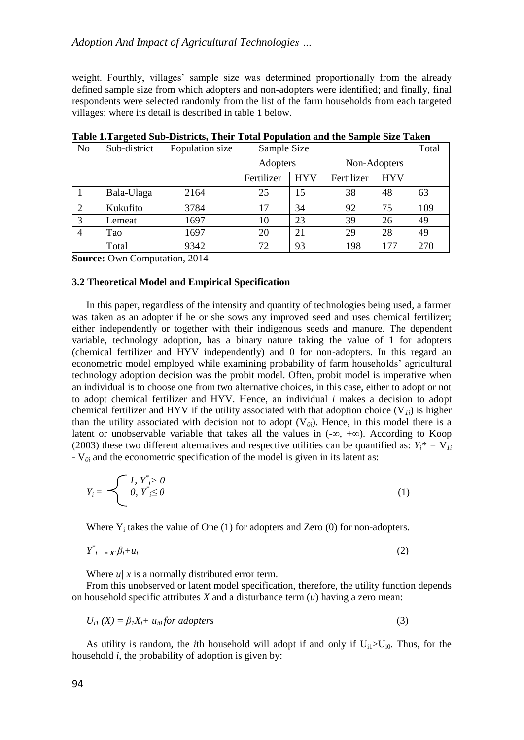weight. Fourthly, villages' sample size was determined proportionally from the already defined sample size from which adopters and non-adopters were identified; and finally, final respondents were selected randomly from the list of the farm households from each targeted villages; where its detail is described in table 1 below.

| No | Sub-district | Population size | Sample Size |              |            | Total      |     |
|----|--------------|-----------------|-------------|--------------|------------|------------|-----|
|    |              | Adopters        |             | Non-Adopters |            |            |     |
|    |              |                 | Fertilizer  | <b>HYV</b>   | Fertilizer | <b>HYV</b> |     |
|    | Bala-Ulaga   | 2164            | 25          | 15           | 38         | 48         | 63  |
|    | Kukufito     | 3784            | 17          | 34           | 92         | 75         | 109 |
| 3  | Lemeat       | 1697            | 10          | 23           | 39         | 26         | 49  |
| 4  | Tao          | 1697            | 20          | 21           | 29         | 28         | 49  |
|    | Total        | 9342            | 72          | 93           | 198        | 177        | 270 |

**Table 1.Targeted Sub-Districts, Their Total Population and the Sample Size Taken**

**Source:** Own Computation, 2014

### **3.2 Theoretical Model and Empirical Specification**

In this paper, regardless of the intensity and quantity of technologies being used, a farmer was taken as an adopter if he or she sows any improved seed and uses chemical fertilizer; either independently or together with their indigenous seeds and manure. The dependent variable, technology adoption, has a binary nature taking the value of 1 for adopters (chemical fertilizer and HYV independently) and 0 for non-adopters. In this regard an econometric model employed while examining probability of farm households' agricultural technology adoption decision was the probit model. Often, probit model is imperative when an individual is to choose one from two alternative choices, in this case, either to adopt or not to adopt chemical fertilizer and HYV. Hence, an individual *i* makes a decision to adopt chemical fertilizer and HYV if the utility associated with that adoption choice  $(V_{ij})$  is higher than the utility associated with decision not to adopt  $(V_{0i})$ . Hence, in this model there is a latent or unobservable variable that takes all the values in (-∞, +∞). According to Koop (2003) these two different alternatives and respective utilities can be quantified as:  $Y_i^* = V_{i}$  $-V_{0i}$  and the econometric specification of the model is given in its latent as:

$$
Y_i = \begin{cases} I, Y^*_{i} \geq 0 \\ 0, Y^*_{i} \leq 0 \end{cases} \tag{1}
$$

Where  $Y_i$  takes the value of One (1) for adopters and Zero (0) for non-adopters.

$$
Y_{i}^{*} = X_{i}\beta_{i} + u_{i} \tag{2}
$$

Where  $u/x$  is a normally distributed error term.

From this unobserved or latent model specification, therefore, the utility function depends on household specific attributes *X* and a disturbance term (*u*) having a zero mean:

$$
U_{i1}(X) = \beta_1 X_i + u_{i0} \text{ for adopters}
$$
 (3)

As utility is random, the *i*th household will adopt if and only if  $U_{i1} > U_{i0}$ . Thus, for the household *i*, the probability of adoption is given by: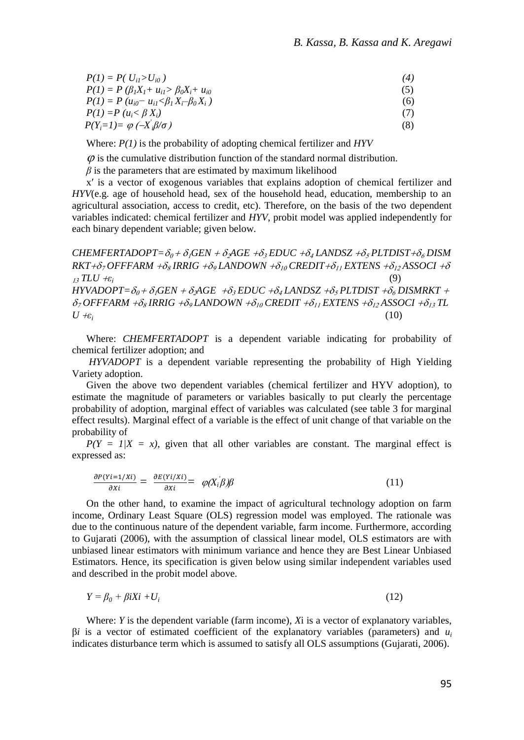| $P(1) = P(U_{ii} > U_{i0})$                              | (4) |
|----------------------------------------------------------|-----|
| $P(1) = P(\beta_1 X_1 + u_{i1} > \beta_0 X_i + u_{i0})$  | (5) |
| $P(1) = P (u_{i0} - u_{i1} < \beta_1 X_i - \beta_0 X_i)$ | (6) |
| $P(1) = P (u_i < \beta X_i)$                             |     |
| $P(Y_i=1) = \varphi(-X_i\beta/\sigma)$                   | (8) |

Where: *P(1)* is the probability of adopting chemical fertilizer and *HYV*

 $\varnothing$  is the cumulative distribution function of the standard normal distribution.

 $\beta$  is the parameters that are estimated by maximum likelihood

x′ is a vector of exogenous variables that explains adoption of chemical fertilizer and *HYV*(e.g. age of household head, sex of the household head, education, membership to an agricultural association, access to credit, etc). Therefore, on the basis of the two dependent variables indicated: chemical fertilizer and *HYV*, probit model was applied independently for each binary dependent variable; given below.

*CHEMFERTADOPT*= $\delta_0 + \delta_1$ *GEN*  $+ \delta_2$ *AGE*  $+ \delta_3$ *EDUC*  $+ \delta_4$ *LANDSZ*  $+ \delta_5$ *PLTDIST* $+ \delta_6$ *DISM*  $RKT + \delta_7$  *OFFFARM*  $+\delta_8$  *IRRIG*  $+\delta_9$  *LANDOWN*  $+\delta_{10}$  *CREDIT*  $+\delta_{11}$  *EXTENS*  $+\delta_{12}$  *ASSOCI*  $+\delta$  $T_LJ^T\mathcal{I}L\mathcal{U} + \varepsilon_i$  (9)  $HYVADOPT=\delta_0+\delta_1GEN+\delta_2GE+\delta_3EDUC+\delta_4LANDSZ+\delta_5PLTDIST+\delta_6DISMRKT$  +  $\delta_7$  *OFFFARM*  $+\delta_8$  *IRRIG*  $+\delta_9$  *LANDOWN*  $+\delta_{10}$  *CREDIT*  $+\delta_{11}$  *EXTENS*  $+\delta_{12}$  *ASSOCI*  $+\delta_{13}$  *TL* 

 $U \neq \varepsilon_i$  (10)

Where: *CHEMFERTADOPT* is a dependent variable indicating for probability of chemical fertilizer adoption; and

*HYVADOPT* is a dependent variable representing the probability of High Yielding Variety adoption.

Given the above two dependent variables (chemical fertilizer and HYV adoption), to estimate the magnitude of parameters or variables basically to put clearly the percentage probability of adoption, marginal effect of variables was calculated (see table 3 for marginal effect results). Marginal effect of a variable is the effect of unit change of that variable on the probability of

 $P(Y = 1/X = x)$ , given that all other variables are constant. The marginal effect is expressed as:

$$
\frac{\partial P(Yi=1/Xi)}{\partial Xi} = \frac{\partial E(Yi/Xi)}{\partial Xi} = \varphi(X_i\beta)\beta
$$
\n(11)

On the other hand, to examine the impact of agricultural technology adoption on farm income, Ordinary Least Square (OLS) regression model was employed. The rationale was due to the continuous nature of the dependent variable, farm income. Furthermore, according to Gujarati (2006), with the assumption of classical linear model, OLS estimators are with unbiased linear estimators with minimum variance and hence they are Best Linear Unbiased Estimators. Hence, its specification is given below using similar independent variables used and described in the probit model above.

$$
Y = \beta_0 + \beta i X i + U_i \tag{12}
$$

Where: *Y* is the dependent variable (farm income), *X*i is a vector of explanatory variables,  $β*i*$  is a vector of estimated coefficient of the explanatory variables (parameters) and  $u_i$ indicates disturbance term which is assumed to satisfy all OLS assumptions (Gujarati, 2006).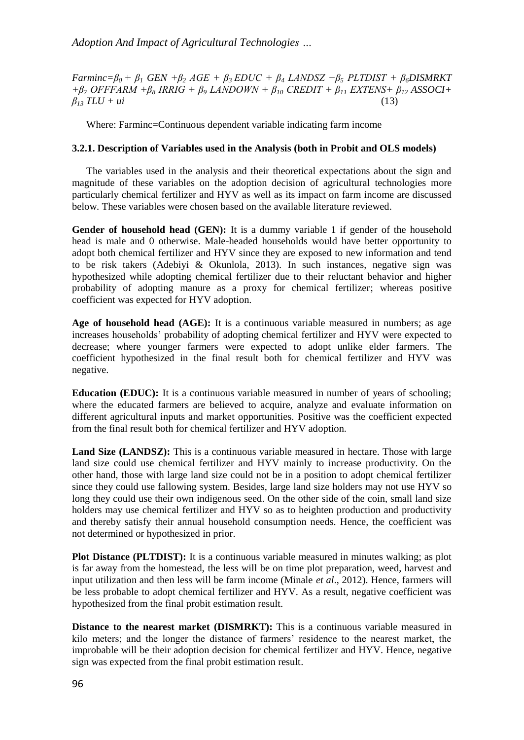*Farminc=β0 + β<sup>1</sup> GEN +β<sup>2</sup> AGE + β3 EDUC + β<sup>4</sup> LANDSZ +β<sup>5</sup> PLTDIST + β6DISMRKT +β<sup>7</sup> OFFFARM +β<sup>8</sup> IRRIG + β<sup>9</sup> LANDOWN + β<sup>10</sup> CREDIT + β<sup>11</sup> EXTENS+ β<sup>12</sup> ASSOCI+*   $B_{13}$   $TLU + ui$ 

Where: Farminc=Continuous dependent variable indicating farm income

## **3.2.1. Description of Variables used in the Analysis (both in Probit and OLS models)**

The variables used in the analysis and their theoretical expectations about the sign and magnitude of these variables on the adoption decision of agricultural technologies more particularly chemical fertilizer and HYV as well as its impact on farm income are discussed below. These variables were chosen based on the available literature reviewed.

**Gender of household head (GEN):** It is a dummy variable 1 if gender of the household head is male and 0 otherwise. Male-headed households would have better opportunity to adopt both chemical fertilizer and HYV since they are exposed to new information and tend to be risk takers (Adebiyi & Okunlola, 2013). In such instances, negative sign was hypothesized while adopting chemical fertilizer due to their reluctant behavior and higher probability of adopting manure as a proxy for chemical fertilizer; whereas positive coefficient was expected for HYV adoption.

**Age of household head (AGE):** It is a continuous variable measured in numbers; as age increases households' probability of adopting chemical fertilizer and HYV were expected to decrease; where younger farmers were expected to adopt unlike elder farmers. The coefficient hypothesized in the final result both for chemical fertilizer and HYV was negative.

**Education (EDUC):** It is a continuous variable measured in number of years of schooling; where the educated farmers are believed to acquire, analyze and evaluate information on different agricultural inputs and market opportunities. Positive was the coefficient expected from the final result both for chemical fertilizer and HYV adoption.

Land Size (LANDSZ): This is a continuous variable measured in hectare. Those with large land size could use chemical fertilizer and HYV mainly to increase productivity. On the other hand, those with large land size could not be in a position to adopt chemical fertilizer since they could use fallowing system. Besides, large land size holders may not use HYV so long they could use their own indigenous seed. On the other side of the coin, small land size holders may use chemical fertilizer and HYV so as to heighten production and productivity and thereby satisfy their annual household consumption needs. Hence, the coefficient was not determined or hypothesized in prior.

**Plot Distance (PLTDIST):** It is a continuous variable measured in minutes walking; as plot is far away from the homestead, the less will be on time plot preparation, weed, harvest and input utilization and then less will be farm income (Minale *et al*., 2012). Hence, farmers will be less probable to adopt chemical fertilizer and HYV. As a result, negative coefficient was hypothesized from the final probit estimation result.

**Distance to the nearest market (DISMRKT):** This is a continuous variable measured in kilo meters; and the longer the distance of farmers' residence to the nearest market, the improbable will be their adoption decision for chemical fertilizer and HYV. Hence, negative sign was expected from the final probit estimation result.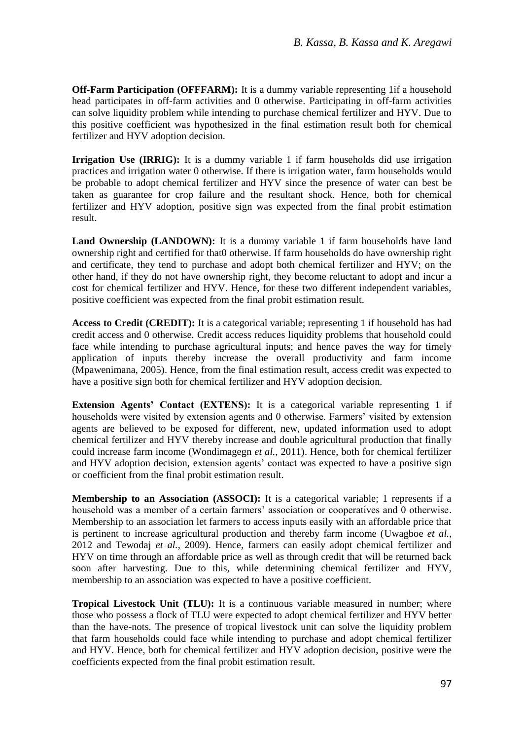**Off-Farm Participation (OFFFARM):** It is a dummy variable representing 1if a household head participates in off-farm activities and 0 otherwise. Participating in off-farm activities can solve liquidity problem while intending to purchase chemical fertilizer and HYV. Due to this positive coefficient was hypothesized in the final estimation result both for chemical fertilizer and HYV adoption decision.

**Irrigation Use (IRRIG):** It is a dummy variable 1 if farm households did use irrigation practices and irrigation water 0 otherwise. If there is irrigation water, farm households would be probable to adopt chemical fertilizer and HYV since the presence of water can best be taken as guarantee for crop failure and the resultant shock. Hence, both for chemical fertilizer and HYV adoption, positive sign was expected from the final probit estimation result.

**Land Ownership (LANDOWN):** It is a dummy variable 1 if farm households have land ownership right and certified for that0 otherwise. If farm households do have ownership right and certificate, they tend to purchase and adopt both chemical fertilizer and HYV; on the other hand, if they do not have ownership right, they become reluctant to adopt and incur a cost for chemical fertilizer and HYV. Hence, for these two different independent variables, positive coefficient was expected from the final probit estimation result.

**Access to Credit (CREDIT):** It is a categorical variable; representing 1 if household has had credit access and 0 otherwise. Credit access reduces liquidity problems that household could face while intending to purchase agricultural inputs; and hence paves the way for timely application of inputs thereby increase the overall productivity and farm income (Mpawenimana, 2005). Hence, from the final estimation result, access credit was expected to have a positive sign both for chemical fertilizer and HYV adoption decision.

**Extension Agents' Contact (EXTENS):** It is a categorical variable representing 1 if households were visited by extension agents and 0 otherwise. Farmers' visited by extension agents are believed to be exposed for different, new, updated information used to adopt chemical fertilizer and HYV thereby increase and double agricultural production that finally could increase farm income (Wondimagegn *et al.*, 2011). Hence, both for chemical fertilizer and HYV adoption decision, extension agents' contact was expected to have a positive sign or coefficient from the final probit estimation result.

**Membership to an Association (ASSOCI):** It is a categorical variable; 1 represents if a household was a member of a certain farmers' association or cooperatives and 0 otherwise. Membership to an association let farmers to access inputs easily with an affordable price that is pertinent to increase agricultural production and thereby farm income (Uwagboe *et al.*, 2012 and Tewodaj *et al.*, 2009). Hence, farmers can easily adopt chemical fertilizer and HYV on time through an affordable price as well as through credit that will be returned back soon after harvesting. Due to this, while determining chemical fertilizer and HYV, membership to an association was expected to have a positive coefficient.

**Tropical Livestock Unit (TLU):** It is a continuous variable measured in number; where those who possess a flock of TLU were expected to adopt chemical fertilizer and HYV better than the have-nots. The presence of tropical livestock unit can solve the liquidity problem that farm households could face while intending to purchase and adopt chemical fertilizer and HYV. Hence, both for chemical fertilizer and HYV adoption decision, positive were the coefficients expected from the final probit estimation result.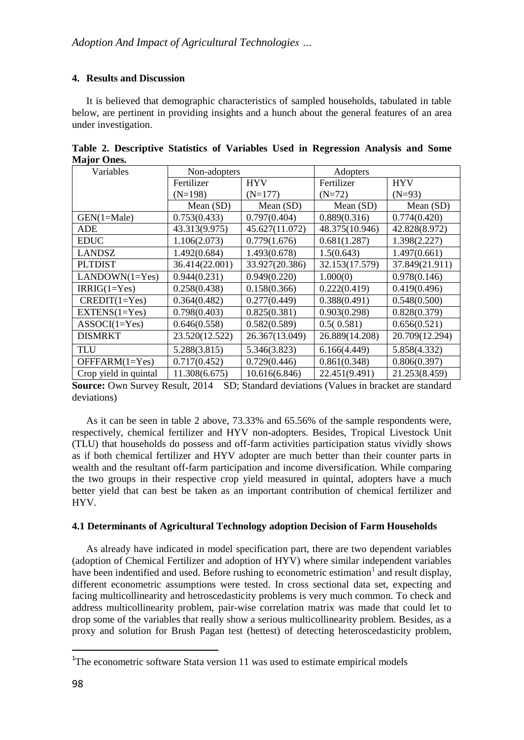## **4. Results and Discussion**

It is believed that demographic characteristics of sampled households, tabulated in table below, are pertinent in providing insights and a hunch about the general features of an area under investigation.

| Variables             | Non-adopters   |                | Adopters       |                |  |
|-----------------------|----------------|----------------|----------------|----------------|--|
|                       | Fertilizer     | <b>HYV</b>     | Fertilizer     | <b>HYV</b>     |  |
|                       | $(N=198)$      | $(N=177)$      | $(N=72)$       | $(N=93)$       |  |
|                       | Mean $(SD)$    | Mean $(SD)$    | Mean (SD)      | Mean (SD)      |  |
| $GEN(1=Male)$         | 0.753(0.433)   | 0.797(0.404)   | 0.889(0.316)   | 0.774(0.420)   |  |
| <b>ADE</b>            | 43.313(9.975)  | 45.627(11.072) | 48.375(10.946) | 42.828(8.972)  |  |
| <b>EDUC</b>           | 1.106(2.073)   | 0.779(1.676)   | 0.681(1.287)   | 1.398(2.227)   |  |
| <b>LANDSZ</b>         | 1.492(0.684)   | 1.493(0.678)   | 1.5(0.643)     | 1.497(0.661)   |  |
| <b>PLTDIST</b>        | 36.414(22.001) | 33.927(20.386) | 32.153(17.579) | 37.849(21.911) |  |
| $LANDOWN(1=Yes)$      | 0.944(0.231)   | 0.949(0.220)   | 1.000(0)       | 0.978(0.146)   |  |
| $IRRIG(1=Yes)$        | 0.258(0.438)   | 0.158(0.366)   | 0.222(0.419)   | 0.419(0.496)   |  |
| $CREDIT(1=Yes)$       | 0.364(0.482)   | 0.277(0.449)   | 0.388(0.491)   | 0.548(0.500)   |  |
| $EXTENS(1=Yes)$       | 0.798(0.403)   | 0.825(0.381)   | 0.903(0.298)   | 0.828(0.379)   |  |
| $ASSOCI(1=Yes)$       | 0.646(0.558)   | 0.582(0.589)   | 0.5(0.581)     | 0.656(0.521)   |  |
| <b>DISMRKT</b>        | 23.520(12.522) | 26.367(13.049) | 26.889(14.208) | 20.709(12.294) |  |
| <b>TLU</b>            | 5.288(3.815)   | 5.346(3.823)   | 6.166(4.449)   | 5.858(4.332)   |  |
| $OFFARM(1=Yes)$       | 0.717(0.452)   | 0.729(0.446)   | 0.861(0.348)   | 0.806(0.397)   |  |
| Crop yield in quintal | 11.308(6.675)  | 10.616(6.846)  | 22.451(9.491)  | 21.253(8.459)  |  |

**Table 2. Descriptive Statistics of Variables Used in Regression Analysis and Some Major Ones.**

**Source:** Own Survey Result, 2014 SD; Standard deviations (Values in bracket are standard deviations)

As it can be seen in table 2 above, 73.33% and 65.56% of the sample respondents were, respectively, chemical fertilizer and HYV non-adopters. Besides, Tropical Livestock Unit (TLU) that households do possess and off-farm activities participation status vividly shows as if both chemical fertilizer and HYV adopter are much better than their counter parts in wealth and the resultant off-farm participation and income diversification. While comparing the two groups in their respective crop yield measured in quintal, adopters have a much better yield that can best be taken as an important contribution of chemical fertilizer and HYV.

### **4.1 Determinants of Agricultural Technology adoption Decision of Farm Households**

As already have indicated in model specification part, there are two dependent variables (adoption of Chemical Fertilizer and adoption of HYV) where similar independent variables have been indentified and used. Before rushing to econometric estimation<sup>1</sup> and result display, different econometric assumptions were tested. In cross sectional data set, expecting and facing multicollinearity and hetroscedasticity problems is very much common. To check and address multicollinearity problem, pair-wise correlation matrix was made that could let to drop some of the variables that really show a serious multicollinearity problem. Besides, as a proxy and solution for Brush Pagan test (hettest) of detecting heteroscedasticity problem,

 $\overline{\phantom{a}}$ 

<sup>&</sup>lt;sup>1</sup>The econometric software Stata version 11 was used to estimate empirical models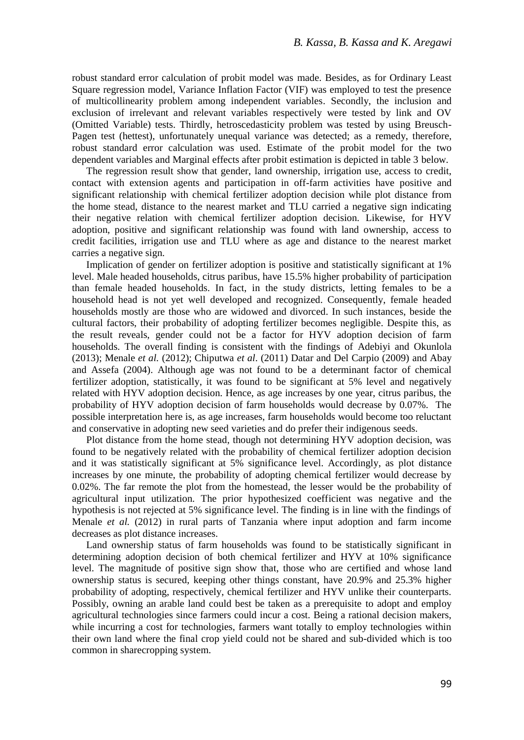robust standard error calculation of probit model was made. Besides, as for Ordinary Least Square regression model, Variance Inflation Factor (VIF) was employed to test the presence of multicollinearity problem among independent variables. Secondly, the inclusion and exclusion of irrelevant and relevant variables respectively were tested by link and OV (Omitted Variable) tests. Thirdly, hetroscedasticity problem was tested by using Breusch-Pagen test (hettest), unfortunately unequal variance was detected; as a remedy, therefore, robust standard error calculation was used. Estimate of the probit model for the two dependent variables and Marginal effects after probit estimation is depicted in table 3 below.

The regression result show that gender, land ownership, irrigation use, access to credit, contact with extension agents and participation in off-farm activities have positive and significant relationship with chemical fertilizer adoption decision while plot distance from the home stead, distance to the nearest market and TLU carried a negative sign indicating their negative relation with chemical fertilizer adoption decision. Likewise, for HYV adoption, positive and significant relationship was found with land ownership, access to credit facilities, irrigation use and TLU where as age and distance to the nearest market carries a negative sign.

Implication of gender on fertilizer adoption is positive and statistically significant at 1% level. Male headed households, citrus paribus, have 15.5% higher probability of participation than female headed households. In fact, in the study districts, letting females to be a household head is not yet well developed and recognized. Consequently, female headed households mostly are those who are widowed and divorced. In such instances, beside the cultural factors, their probability of adopting fertilizer becomes negligible. Despite this, as the result reveals, gender could not be a factor for HYV adoption decision of farm households. The overall finding is consistent with the findings of Adebiyi and Okunlola (2013); Menale *et al.* (2012); Chiputwa *et al*. (2011) Datar and Del Carpio (2009) and Abay and Assefa (2004). Although age was not found to be a determinant factor of chemical fertilizer adoption, statistically, it was found to be significant at 5% level and negatively related with HYV adoption decision. Hence, as age increases by one year, citrus paribus, the probability of HYV adoption decision of farm households would decrease by 0.07%. The possible interpretation here is, as age increases, farm households would become too reluctant and conservative in adopting new seed varieties and do prefer their indigenous seeds.

Plot distance from the home stead, though not determining HYV adoption decision, was found to be negatively related with the probability of chemical fertilizer adoption decision and it was statistically significant at 5% significance level. Accordingly, as plot distance increases by one minute, the probability of adopting chemical fertilizer would decrease by 0.02%. The far remote the plot from the homestead, the lesser would be the probability of agricultural input utilization. The prior hypothesized coefficient was negative and the hypothesis is not rejected at 5% significance level. The finding is in line with the findings of Menale *et al.* (2012) in rural parts of Tanzania where input adoption and farm income decreases as plot distance increases.

Land ownership status of farm households was found to be statistically significant in determining adoption decision of both chemical fertilizer and HYV at 10% significance level. The magnitude of positive sign show that, those who are certified and whose land ownership status is secured, keeping other things constant, have 20.9% and 25.3% higher probability of adopting, respectively, chemical fertilizer and HYV unlike their counterparts. Possibly, owning an arable land could best be taken as a prerequisite to adopt and employ agricultural technologies since farmers could incur a cost. Being a rational decision makers, while incurring a cost for technologies, farmers want totally to employ technologies within their own land where the final crop yield could not be shared and sub-divided which is too common in sharecropping system.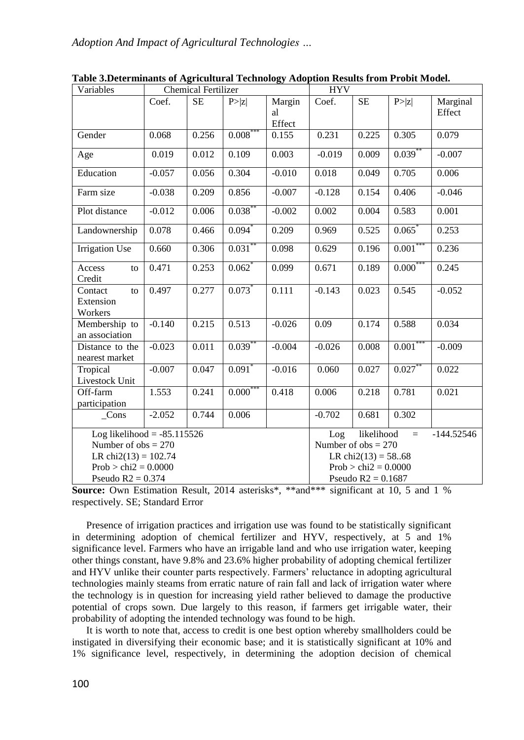| Variables                                                                         | <b>Chemical Fertilizer</b> |           |                      |                                                                                             | <b>HYV</b>                                      |       |                      |                    |
|-----------------------------------------------------------------------------------|----------------------------|-----------|----------------------|---------------------------------------------------------------------------------------------|-------------------------------------------------|-------|----------------------|--------------------|
|                                                                                   | Coef.                      | <b>SE</b> | P> z                 | Margin<br>al<br>Effect                                                                      | Coef.                                           | SE    | P >  z               | Marginal<br>Effect |
| Gender                                                                            | 0.068                      | 0.256     | $0.008^*$            | 0.155                                                                                       | 0.231                                           | 0.225 | 0.305                | 0.079              |
| Age                                                                               | 0.019                      | 0.012     | 0.109                | 0.003                                                                                       | $-0.019$                                        | 0.009 | $0.039$ <sup>*</sup> | $-0.007$           |
| Education                                                                         | $-0.057$                   | 0.056     | 0.304                | $-0.010$                                                                                    | 0.018                                           | 0.049 | 0.705                | 0.006              |
| Farm size                                                                         | $-0.038$                   | 0.209     | 0.856                | $-0.007$                                                                                    | $-0.128$                                        | 0.154 | 0.406                | $-0.046$           |
| Plot distance                                                                     | $-0.012$                   | 0.006     | $0.038$ *            | $-0.002$                                                                                    | 0.002                                           | 0.004 | 0.583                | 0.001              |
| Landownership                                                                     | 0.078                      | 0.466     | 0.094                | 0.209                                                                                       | 0.969                                           | 0.525 | 0.065                | 0.253              |
| <b>Irrigation Use</b>                                                             | 0.660                      | 0.306     | 0.031                | 0.098                                                                                       | 0.629                                           | 0.196 | $0.001$ <sup>*</sup> | 0.236              |
| Access<br>to<br>Credit                                                            | 0.471                      | 0.253     | 0.062                | 0.099                                                                                       | 0.671                                           | 0.189 | 0.000                | 0.245              |
| Contact<br>to<br>Extension<br>Workers                                             | 0.497                      | 0.277     | $0.073$ *            | 0.111                                                                                       | $-0.143$                                        | 0.023 | 0.545                | $-0.052$           |
| Membership to<br>an association                                                   | $-0.140$                   | 0.215     | 0.513                | $-0.026$                                                                                    | 0.09                                            | 0.174 | 0.588                | 0.034              |
| Distance to the<br>nearest market                                                 | $-0.023$                   | 0.011     | $0.039***$           | $-0.004$                                                                                    | $-0.026$                                        | 0.008 | $0.001***$           | $-0.009$           |
| Tropical<br>Livestock Unit                                                        | $-0.007$                   | 0.047     | $0.091$ <sup>*</sup> | $-0.016$                                                                                    | 0.060                                           | 0.027 | 0.027                | 0.022              |
| Off-farm<br>participation                                                         | 1.553                      | 0.241     | 0.000                | 0.418                                                                                       | 0.006                                           | 0.218 | 0.781                | 0.021              |
| $_{\text{Cons}}$                                                                  | $-2.052$                   | 0.744     | 0.006                |                                                                                             | $-0.702$                                        | 0.681 | 0.302                |                    |
| Log likelihood = $-85.115526$<br>Number of $obs = 270$<br>LR chi $2(13) = 102.74$ |                            |           |                      | likelihood<br>$-144.52546$<br>Log<br>$=$<br>Number of $obs = 270$<br>LR chi $2(13) = 58.68$ |                                                 |       |                      |                    |
| $Prob > chi2 = 0.0000$<br>Pseudo $R2 = 0.374$                                     |                            |           |                      |                                                                                             | Prob > chi $2 = 0.0000$<br>Pseudo $R2 = 0.1687$ |       |                      |                    |

**Table 3.Determinants of Agricultural Technology Adoption Results from Probit Model.**

**Source:** Own Estimation Result, 2014 asterisks\*, \*\*and\*\*\* significant at 10, 5 and 1 % respectively. SE; Standard Error

Presence of irrigation practices and irrigation use was found to be statistically significant in determining adoption of chemical fertilizer and HYV, respectively, at 5 and 1% significance level. Farmers who have an irrigable land and who use irrigation water, keeping other things constant, have 9.8% and 23.6% higher probability of adopting chemical fertilizer and HYV unlike their counter parts respectively. Farmers' reluctance in adopting agricultural technologies mainly steams from erratic nature of rain fall and lack of irrigation water where the technology is in question for increasing yield rather believed to damage the productive potential of crops sown. Due largely to this reason, if farmers get irrigable water, their probability of adopting the intended technology was found to be high.

It is worth to note that, access to credit is one best option whereby smallholders could be instigated in diversifying their economic base; and it is statistically significant at 10% and 1% significance level, respectively, in determining the adoption decision of chemical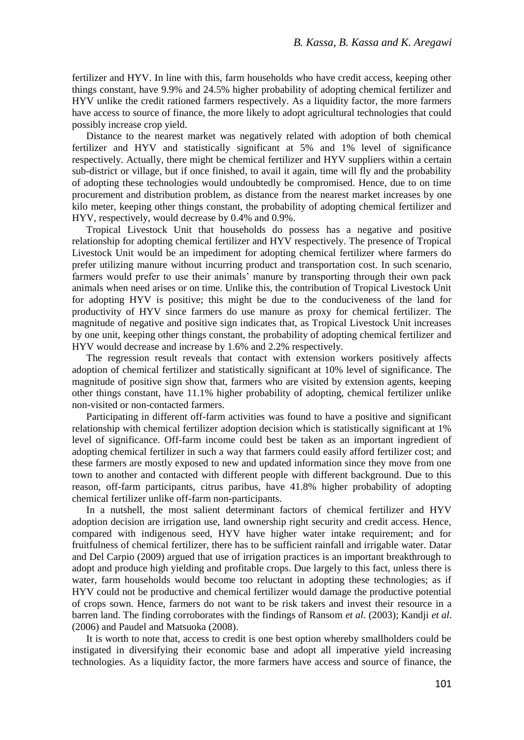fertilizer and HYV. In line with this, farm households who have credit access, keeping other things constant, have 9.9% and 24.5% higher probability of adopting chemical fertilizer and HYV unlike the credit rationed farmers respectively. As a liquidity factor, the more farmers have access to source of finance, the more likely to adopt agricultural technologies that could possibly increase crop yield.

Distance to the nearest market was negatively related with adoption of both chemical fertilizer and HYV and statistically significant at 5% and 1% level of significance respectively. Actually, there might be chemical fertilizer and HYV suppliers within a certain sub-district or village, but if once finished, to avail it again, time will fly and the probability of adopting these technologies would undoubtedly be compromised. Hence, due to on time procurement and distribution problem, as distance from the nearest market increases by one kilo meter, keeping other things constant, the probability of adopting chemical fertilizer and HYV, respectively, would decrease by 0.4% and 0.9%.

Tropical Livestock Unit that households do possess has a negative and positive relationship for adopting chemical fertilizer and HYV respectively. The presence of Tropical Livestock Unit would be an impediment for adopting chemical fertilizer where farmers do prefer utilizing manure without incurring product and transportation cost. In such scenario, farmers would prefer to use their animals' manure by transporting through their own pack animals when need arises or on time. Unlike this, the contribution of Tropical Livestock Unit for adopting HYV is positive; this might be due to the conduciveness of the land for productivity of HYV since farmers do use manure as proxy for chemical fertilizer. The magnitude of negative and positive sign indicates that, as Tropical Livestock Unit increases by one unit, keeping other things constant, the probability of adopting chemical fertilizer and HYV would decrease and increase by 1.6% and 2.2% respectively.

The regression result reveals that contact with extension workers positively affects adoption of chemical fertilizer and statistically significant at 10% level of significance. The magnitude of positive sign show that, farmers who are visited by extension agents, keeping other things constant, have 11.1% higher probability of adopting, chemical fertilizer unlike non-visited or non-contacted farmers.

Participating in different off-farm activities was found to have a positive and significant relationship with chemical fertilizer adoption decision which is statistically significant at 1% level of significance. Off-farm income could best be taken as an important ingredient of adopting chemical fertilizer in such a way that farmers could easily afford fertilizer cost; and these farmers are mostly exposed to new and updated information since they move from one town to another and contacted with different people with different background. Due to this reason, off-farm participants, citrus paribus, have 41.8% higher probability of adopting chemical fertilizer unlike off-farm non-participants.

In a nutshell, the most salient determinant factors of chemical fertilizer and HYV adoption decision are irrigation use, land ownership right security and credit access. Hence, compared with indigenous seed, HYV have higher water intake requirement; and for fruitfulness of chemical fertilizer, there has to be sufficient rainfall and irrigable water. Datar and Del Carpio (2009) argued that use of irrigation practices is an important breakthrough to adopt and produce high yielding and profitable crops. Due largely to this fact, unless there is water, farm households would become too reluctant in adopting these technologies; as if HYV could not be productive and chemical fertilizer would damage the productive potential of crops sown. Hence, farmers do not want to be risk takers and invest their resource in a barren land. The finding corroborates with the findings of Ransom *et al*. (2003); Kandji *et al*. (2006) and Paudel and Matsuoka (2008).

It is worth to note that, access to credit is one best option whereby smallholders could be instigated in diversifying their economic base and adopt all imperative yield increasing technologies. As a liquidity factor, the more farmers have access and source of finance, the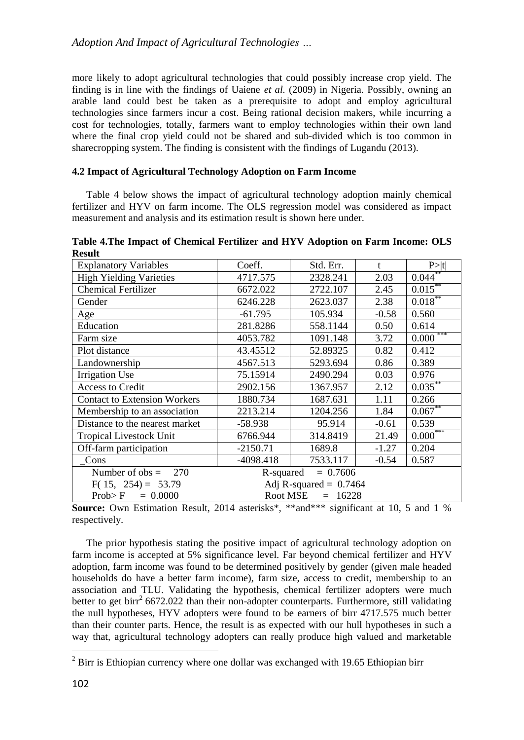more likely to adopt agricultural technologies that could possibly increase crop yield. The finding is in line with the findings of Uaiene *et al.* (2009) in Nigeria. Possibly, owning an arable land could best be taken as a prerequisite to adopt and employ agricultural technologies since farmers incur a cost. Being rational decision makers, while incurring a cost for technologies, totally, farmers want to employ technologies within their own land where the final crop yield could not be shared and sub-divided which is too common in sharecropping system. The finding is consistent with the findings of Lugandu (2013).

# **4.2 Impact of Agricultural Technology Adoption on Farm Income**

Table 4 below shows the impact of agricultural technology adoption mainly chemical fertilizer and HYV on farm income. The OLS regression model was considered as impact measurement and analysis and its estimation result is shown here under.

| <b>Explanatory Variables</b>                     | Coeff.                  | Std. Err. | t       | P >  t       |  |  |
|--------------------------------------------------|-------------------------|-----------|---------|--------------|--|--|
| <b>High Yielding Varieties</b>                   | 4717.575                | 2328.241  | 2.03    | $0.044**$    |  |  |
| <b>Chemical Fertilizer</b>                       | 6672.022                | 2722.107  | 2.45    | $0.015***$   |  |  |
| Gender                                           | 6246.228                | 2623.037  | 2.38    | $0.018***$   |  |  |
| Age                                              | $-61.795$               | 105.934   | $-0.58$ | 0.560        |  |  |
| Education                                        | 281.8286                | 558.1144  | 0.50    | 0.614        |  |  |
| Farm size                                        | 4053.782                | 1091.148  | 3.72    | $0.000***$   |  |  |
| Plot distance                                    | 43.45512                | 52.89325  | 0.82    | 0.412        |  |  |
| Landownership                                    | 4567.513                | 5293.694  | 0.86    | 0.389        |  |  |
| <b>Irrigation Use</b>                            | 75.15914                | 2490.294  | 0.03    | 0.976        |  |  |
| <b>Access to Credit</b>                          | 2902.156                | 1367.957  | 2.12    | $0.035^{**}$ |  |  |
| <b>Contact to Extension Workers</b>              | 1880.734                | 1687.631  | 1.11    | 0.266        |  |  |
| Membership to an association                     | 2213.214                | 1204.256  | 1.84    | $0.067**$    |  |  |
| Distance to the nearest market                   | $-58.938$               | 95.914    | $-0.61$ | 0.539        |  |  |
| <b>Tropical Livestock Unit</b>                   | 6766.944                | 314.8419  | 21.49   | $0.000***$   |  |  |
| Off-farm participation                           | $-2150.71$              | 1689.8    | $-1.27$ | 0.204        |  |  |
| Cons                                             | $-4098.418$             | 7533.117  | $-0.54$ | 0.587        |  |  |
| Number of $obs =$<br>270                         | $= 0.7606$<br>R-squared |           |         |              |  |  |
| $F(15, 254) = 53.79$<br>Adj R-squared = $0.7464$ |                         |           |         |              |  |  |
| Root MSE<br>Prob>F<br>$= 0.0000$<br>16228<br>$=$ |                         |           |         |              |  |  |

**Table 4.The Impact of Chemical Fertilizer and HYV Adoption on Farm Income: OLS Result**

**Source:** Own Estimation Result, 2014 asterisks\*, \*\*and\*\*\* significant at 10, 5 and 1 % respectively.

The prior hypothesis stating the positive impact of agricultural technology adoption on farm income is accepted at 5% significance level. Far beyond chemical fertilizer and HYV adoption, farm income was found to be determined positively by gender (given male headed households do have a better farm income), farm size, access to credit, membership to an association and TLU. Validating the hypothesis, chemical fertilizer adopters were much better to get birr<sup>2</sup> 6672.022 than their non-adopter counterparts. Furthermore, still validating the null hypotheses, HYV adopters were found to be earners of birr 4717.575 much better than their counter parts. Hence, the result is as expected with our hull hypotheses in such a way that, agricultural technology adopters can really produce high valued and marketable

 $\overline{\phantom{a}}$ 

 $^{2}$  Birr is Ethiopian currency where one dollar was exchanged with 19.65 Ethiopian birr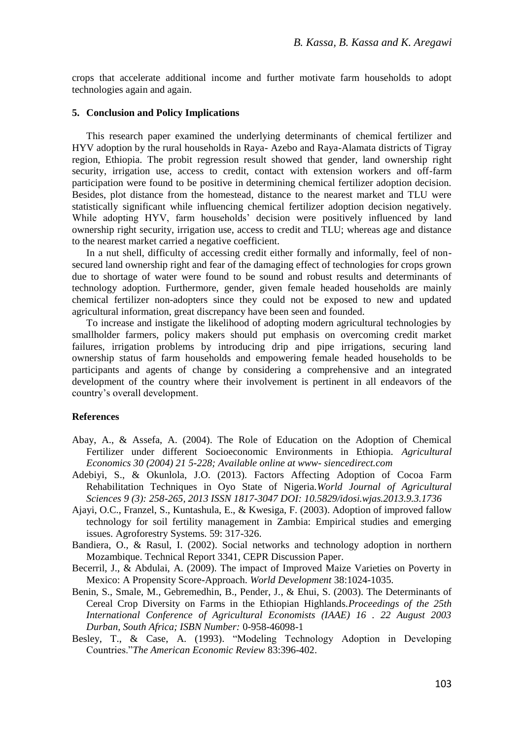crops that accelerate additional income and further motivate farm households to adopt technologies again and again.

#### **5. Conclusion and Policy Implications**

This research paper examined the underlying determinants of chemical fertilizer and HYV adoption by the rural households in Raya- Azebo and Raya-Alamata districts of Tigray region, Ethiopia. The probit regression result showed that gender, land ownership right security, irrigation use, access to credit, contact with extension workers and off-farm participation were found to be positive in determining chemical fertilizer adoption decision. Besides, plot distance from the homestead, distance to the nearest market and TLU were statistically significant while influencing chemical fertilizer adoption decision negatively. While adopting HYV, farm households' decision were positively influenced by land ownership right security, irrigation use, access to credit and TLU; whereas age and distance to the nearest market carried a negative coefficient.

In a nut shell, difficulty of accessing credit either formally and informally, feel of nonsecured land ownership right and fear of the damaging effect of technologies for crops grown due to shortage of water were found to be sound and robust results and determinants of technology adoption. Furthermore, gender, given female headed households are mainly chemical fertilizer non-adopters since they could not be exposed to new and updated agricultural information, great discrepancy have been seen and founded.

To increase and instigate the likelihood of adopting modern agricultural technologies by smallholder farmers, policy makers should put emphasis on overcoming credit market failures, irrigation problems by introducing drip and pipe irrigations, securing land ownership status of farm households and empowering female headed households to be participants and agents of change by considering a comprehensive and an integrated development of the country where their involvement is pertinent in all endeavors of the country's overall development.

#### **References**

- Abay, A., & Assefa, A. (2004). The Role of Education on the Adoption of Chemical Fertilizer under different Socioeconomic Environments in Ethiopia. *Agricultural Economics 30 (2004) 21 5-228; Available online at www- siencedirect.com*
- Adebiyi, S., & Okunlola, J.O. (2013). Factors Affecting Adoption of Cocoa Farm Rehabilitation Techniques in Oyo State of Nigeria.*World Journal of Agricultural Sciences 9 (3): 258-265, 2013 ISSN 1817-3047 DOI: 10.5829/idosi.wjas.2013.9.3.1736*
- Ajayi, O.C., Franzel, S., Kuntashula, E., & Kwesiga, F. (2003). Adoption of improved fallow technology for soil fertility management in Zambia: Empirical studies and emerging issues. Agroforestry Systems. 59: 317-326.
- Bandiera, O., & Rasul, I. (2002). Social networks and technology adoption in northern Mozambique. Technical Report 3341, CEPR Discussion Paper.
- Becerril, J., & Abdulai, A. (2009). The impact of Improved Maize Varieties on Poverty in Mexico: A Propensity Score-Approach. *World Development* 38:1024-1035.
- Benin, S., Smale, M., Gebremedhin, B., Pender, J., & Ehui, S. (2003). The Determinants of Cereal Crop Diversity on Farms in the Ethiopian Highlands.*Proceedings of the 25th International Conference of Agricultural Economists (IAAE) 16 . 22 August 2003 Durban, South Africa; ISBN Number:* 0-958-46098-1
- Besley, T., & Case, A. (1993). "Modeling Technology Adoption in Developing Countries."*The American Economic Review* 83:396-402.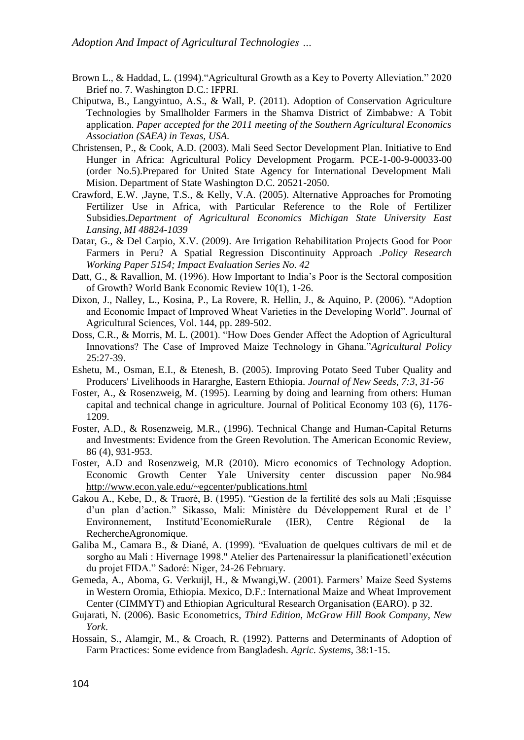- Brown L., & Haddad, L. (1994)."Agricultural Growth as a Key to Poverty Alleviation." 2020 Brief no. 7. Washington D.C.: IFPRI.
- Chiputwa, B., Langyintuo, A.S., & Wall, P. (2011). Adoption of Conservation Agriculture Technologies by Smallholder Farmers in the Shamva District of Zimbabwe*:* A Tobit application. *Paper accepted for the 2011 meeting of the Southern Agricultural Economics Association (SAEA) in Texas, USA.*
- Christensen, P., & Cook, A.D. (2003). Mali Seed Sector Development Plan. Initiative to End Hunger in Africa: Agricultural Policy Development Progarm. PCE-1-00-9-00033-00 (order No.5).Prepared for United State Agency for International Development Mali Mision. Department of State Washington D.C. 20521-2050.
- Crawford, E.W. ,Jayne, T.S., & Kelly, V.A. (2005). Alternative Approaches for Promoting Fertilizer Use in Africa, with Particular Reference to the Role of Fertilizer Subsidies.*Department of Agricultural Economics Michigan State University East Lansing, MI 48824-1039*
- Datar, G., & Del Carpio, X.V. (2009). Are Irrigation Rehabilitation Projects Good for Poor Farmers in Peru? A Spatial Regression Discontinuity Approach .*Policy Research Working Paper 5154; Impact Evaluation Series No. 42*
- Datt, G., & Ravallion, M. (1996). How Important to India's Poor is the Sectoral composition of Growth? World Bank Economic Review 10(1), 1-26.
- Dixon, J., Nalley, L., Kosina, P., La Rovere, R. Hellin, J., & Aquino, P. (2006). "Adoption and Economic Impact of Improved Wheat Varieties in the Developing World". Journal of Agricultural Sciences, Vol. 144, pp. 289-502.
- Doss, C.R., & Morris, M. L. (2001). "How Does Gender Affect the Adoption of Agricultural Innovations? The Case of Improved Maize Technology in Ghana."*Agricultural Policy* 25:27-39.
- Eshetu, M., Osman, E.I., & Etenesh, B. (2005). Improving Potato Seed Tuber Quality and Producers' Livelihoods in Hararghe, Eastern Ethiopia. *Journal of New Seeds, 7:3, 31-56*
- Foster, A., & Rosenzweig, M. (1995). Learning by doing and learning from others: Human capital and technical change in agriculture. Journal of Political Economy 103 (6), 1176- 1209.
- Foster, A.D., & Rosenzweig, M.R., (1996). Technical Change and Human-Capital Returns and Investments: Evidence from the Green Revolution. The American Economic Review, 86 (4), 931-953.
- Foster, A.D and Rosenzweig, M.R (2010). Micro economics of Technology Adoption. Economic Growth Center Yale University center discussion paper No.984 <http://www.econ.yale.edu/~egcenter/publications.html>
- Gakou A., Kebe, D., & Traoré, B. (1995). "Gestion de la fertilité des sols au Mali ;Esquisse d'un plan d'action." Sikasso, Mali: Ministère du Développement Rural et de l' Environnement, Institutd'EconomieRurale (IER), Centre Régional de la RechercheAgronomique.
- Galiba M., Camara B., & Diané, A. (1999). "Evaluation de quelques cultivars de mil et de sorgho au Mali : Hivernage 1998." Atelier des Partenairessur la planificationetl'exécution du projet FIDA." Sadoré: Niger, 24-26 February.
- Gemeda, A., Aboma, G. Verkuijl, H., & Mwangi,W. (2001). Farmers' Maize Seed Systems in Western Oromia, Ethiopia. Mexico, D.F.: International Maize and Wheat Improvement Center (CIMMYT) and Ethiopian Agricultural Research Organisation (EARO). p 32.
- Gujarati, N. (2006). Basic Econometrics, *Third Edition, McGraw Hill Book Company, New York*.
- Hossain, S., Alamgir, M., & Croach, R. (1992). Patterns and Determinants of Adoption of Farm Practices: Some evidence from Bangladesh. *Agric. Systems*, 38:1-15.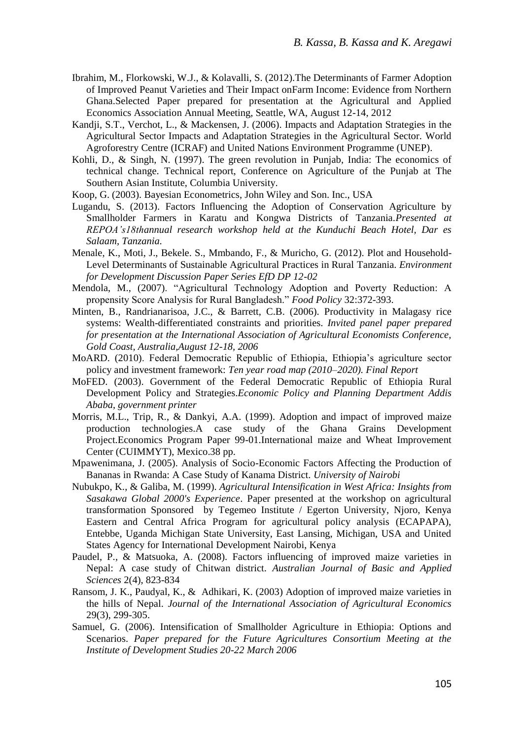- Ibrahim, M., Florkowski, W.J., & Kolavalli, S. (2012).The Determinants of Farmer Adoption of Improved Peanut Varieties and Their Impact onFarm Income: Evidence from Northern Ghana.Selected Paper prepared for presentation at the Agricultural and Applied Economics Association Annual Meeting, Seattle, WA, August 12-14, 2012
- Kandji, S.T., Verchot, L., & Mackensen, J. (2006). Impacts and Adaptation Strategies in the Agricultural Sector Impacts and Adaptation Strategies in the Agricultural Sector. World Agroforestry Centre (ICRAF) and United Nations Environment Programme (UNEP).
- Kohli, D., & Singh, N. (1997). The green revolution in Punjab, India: The economics of technical change. Technical report, Conference on Agriculture of the Punjab at The Southern Asian Institute, Columbia University.
- Koop, G. (2003). Bayesian Econometrics, John Wiley and Son. Inc., USA
- Lugandu, S. (2013). Factors Influencing the Adoption of Conservation Agriculture by Smallholder Farmers in Karatu and Kongwa Districts of Tanzania.*Presented at REPOA's18thannual research workshop held at the Kunduchi Beach Hotel, Dar es Salaam, Tanzania.*
- Menale, K., Moti, J., Bekele. S., Mmbando, F., & Muricho, G. (2012). Plot and Household-Level Determinants of Sustainable Agricultural Practices in Rural Tanzania. *Environment for Development Discussion Paper Series EfD DP 12-02*
- Mendola, M., (2007). "Agricultural Technology Adoption and Poverty Reduction: A propensity Score Analysis for Rural Bangladesh." *Food Policy* 32:372-393.
- Minten, B., Randrianarisoa, J.C., & Barrett, C.B. (2006). Productivity in Malagasy rice systems: Wealth-differentiated constraints and priorities. *Invited panel paper prepared for presentation at the International Association of Agricultural Economists Conference, Gold Coast, Australia,August 12-18, 2006*
- MoARD. (2010). Federal Democratic Republic of Ethiopia, Ethiopia's agriculture sector policy and investment framework: *Ten year road map (2010–2020). Final Report*
- MoFED. (2003). Government of the Federal Democratic Republic of Ethiopia Rural Development Policy and Strategies.*Economic Policy and Planning Department Addis Ababa*, *government printer*
- Morris, M.L., Trip, R., & Dankyi, A.A. (1999). Adoption and impact of improved maize production technologies.A case study of the Ghana Grains Development Project.Economics Program Paper 99-01.International maize and Wheat Improvement Center (CUIMMYT), Mexico.38 pp.
- Mpawenimana, J. (2005). Analysis of Socio-Economic Factors Affecting the Production of Bananas in Rwanda: A Case Study of Kanama District. *University of Nairobi*
- Nubukpo, K., & Galiba, M. (1999). *Agricultural Intensification in West Africa: Insights from Sasakawa Global 2000's Experience*. Paper presented at the workshop on agricultural transformation Sponsored by Tegemeo Institute / Egerton University, Njoro, Kenya Eastern and Central Africa Program for agricultural policy analysis (ECAPAPA), Entebbe, Uganda Michigan State University, East Lansing, Michigan, USA and United States Agency for International Development Nairobi, Kenya
- Paudel, P., & Matsuoka, A. (2008). Factors influencing of improved maize varieties in Nepal: A case study of Chitwan district. *Australian Journal of Basic and Applied Sciences* 2(4), 823-834
- Ransom, J. K., Paudyal, K., & Adhikari, K. (2003) Adoption of improved maize varieties in the hills of Nepal. *Journal of the International Association of Agricultural Economics*  29(3), 299-305.
- Samuel, G. (2006). Intensification of Smallholder Agriculture in Ethiopia: Options and Scenarios. *Paper prepared for the Future Agricultures Consortium Meeting at the Institute of Development Studies 20-22 March 2006*